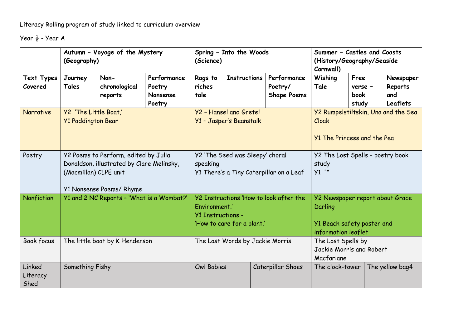Literacy Rolling program of study linked to curriculum overview

Year ½ - Year A

|                            | Autumn - Voyage of the Mystery<br>(Geography)                                                                                          |                                  |                                                    | Spring - Into the Woods<br>(Science)                                                                              |                     |                                              | Summer - Castles and Coasts<br>(History/Geography/Seaside<br>Cornwall)                          |                                         |                 |                                                |
|----------------------------|----------------------------------------------------------------------------------------------------------------------------------------|----------------------------------|----------------------------------------------------|-------------------------------------------------------------------------------------------------------------------|---------------------|----------------------------------------------|-------------------------------------------------------------------------------------------------|-----------------------------------------|-----------------|------------------------------------------------|
| Text Types<br>Covered      | Journey<br>Tales                                                                                                                       | Non-<br>chronological<br>reports | Performance<br>Poetry<br><b>Nonsense</b><br>Poetry | Rags to<br>riches<br>tale                                                                                         | <b>Instructions</b> | Performance<br>Poetry/<br><b>Shape Poems</b> | Wishing<br>Tale                                                                                 | Free<br>verse -<br><b>book</b><br>study |                 | Newspaper<br>Reports<br>and<br><b>Leaflets</b> |
| <b>Narrative</b>           | Y2 'The Little Boat,'<br><b>Y1 Paddington Bear</b>                                                                                     |                                  |                                                    | Y2 - Hansel and Gretel<br>Y1 - Jasper's Beanstalk                                                                 |                     |                                              | Y2 Rumpelstiltskin, Una and the Sea<br>Cloak<br><b>Y1 The Princess and the Pea</b>              |                                         |                 |                                                |
| Poetry                     | Y2 Poems to Perform, edited by Julia<br>Donaldson, illustrated by Clare Melinsky,<br>(Macmillan) CLPE unit<br>Y1 Nonsense Poems/ Rhyme |                                  |                                                    | Y2 'The Seed was Sleepy' choral<br>speaking<br>Y1 There's a Tiny Caterpillar on a Leaf                            |                     |                                              | Y2 The Lost Spells - poetry book<br>study<br>$Y1$ ""                                            |                                         |                 |                                                |
| Nonfiction                 | Y1 and 2 NC Reports - 'What is a Wombat?'                                                                                              |                                  |                                                    | Y2 Instructions 'How to look after the<br>Environment.'<br><b>Y1 Instructions -</b><br>'How to care for a plant.' |                     |                                              | Y2 Newspaper report about Grace<br>Darling<br>Y1 Beach safety poster and<br>information leaflet |                                         |                 |                                                |
| <b>Book focus</b>          |                                                                                                                                        | The little boat by K Henderson   |                                                    | The Lost Words by Jackie Morris                                                                                   |                     |                                              | The Lost Spells by<br>Jackie Morris and Robert<br>Macfarlane                                    |                                         |                 |                                                |
| Linked<br>Literacy<br>Shed | Something Fishy                                                                                                                        |                                  | <b>Owl Babies</b>                                  |                                                                                                                   | Caterpillar Shoes   | The clock-tower                              |                                                                                                 |                                         | The yellow bag4 |                                                |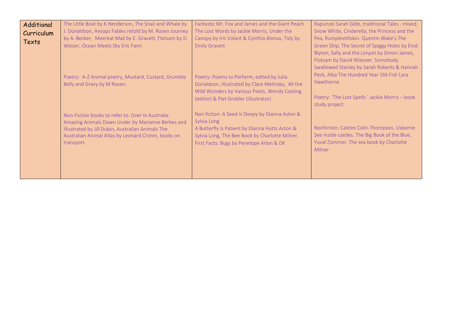| Additional | The Little Boat by K Henderson, The Snail and Whale by                                                                                                                                                             | Fantastic Mr. Fox and James and the Giant Peach   | Rapunzel Sarah Gibb, traditional Tales - mixed.                                           |  |  |  |
|------------|--------------------------------------------------------------------------------------------------------------------------------------------------------------------------------------------------------------------|---------------------------------------------------|-------------------------------------------------------------------------------------------|--|--|--|
| Curriculum | J. Donaldson, Aesops Fables retold by M. Rosen Journey                                                                                                                                                             | The Lost Words by Jackie Morris, Under the        | Snow White, Cinderella, the Princess and the<br>Pea, Rumplestiltskin. Quentin Blake's The |  |  |  |
| Texts      | by A. Becker, Meerkat Mail by E. Gravett, Flotsam by D.                                                                                                                                                            | Canopy by Iris Volant & Cynthia Alonso, Tidy by   |                                                                                           |  |  |  |
|            | Weiser, Ocean Meets Sky Eric Fann                                                                                                                                                                                  | <b>Emily Gravett</b>                              | Green Ship, The Secret of Spiggy Holes by Enid                                            |  |  |  |
|            |                                                                                                                                                                                                                    |                                                   | Blyton, Sally and the Limpet by Simon James,                                              |  |  |  |
|            |                                                                                                                                                                                                                    |                                                   | Flotsam by David Wiesner, Somebody                                                        |  |  |  |
|            |                                                                                                                                                                                                                    |                                                   | Swallowed Stanley by Sarah Roberts & Hannah                                               |  |  |  |
|            | Poetry: A-Z Animal poetry, Mustard, Custard, Grumble<br>Belly and Gravy by M Rosen.                                                                                                                                | Poetry: Poems to Perform, edited by Julia         | Peck, Alba The Hundred Year Old Fish Lara                                                 |  |  |  |
|            |                                                                                                                                                                                                                    | Donaldson, illustrated by Clare Melinsky, All the | Hawthorne                                                                                 |  |  |  |
|            |                                                                                                                                                                                                                    | Wild Wonders by Various Poets, Wendy Cooling      |                                                                                           |  |  |  |
|            |                                                                                                                                                                                                                    | (editor) & Piet Grobler (illustrator)             | Poetry: 'The Lost Spells.' Jackie Morris - book                                           |  |  |  |
|            |                                                                                                                                                                                                                    |                                                   | study project                                                                             |  |  |  |
|            | Non-Fiction books to refer to. Over In Australia:<br>Amazing Animals Down Under by Marianne Berkes and<br>Illustrated by Jill Dubin, Australian Animals The<br>Australian Animal Atlas by Leonard Cronin, books on | Non fiction: A Seed is Sleepy by Dianna Aston &   |                                                                                           |  |  |  |
|            |                                                                                                                                                                                                                    | Sylvia Long                                       |                                                                                           |  |  |  |
|            |                                                                                                                                                                                                                    | A Butterfly Is Patient by Dianna Hutts Aston &    | Nonfiction: Castles Colin Thompson, Usborne                                               |  |  |  |
|            |                                                                                                                                                                                                                    | Sylvia Long, The Bee Book by Charlotte Milner,    | See inside castles. The Big Book of the Blue,                                             |  |  |  |
|            | transport.                                                                                                                                                                                                         | First Facts: Bugs by Penelope Arlon & DK          | Yuval Zommer, The sea book by Charlotte                                                   |  |  |  |
|            |                                                                                                                                                                                                                    |                                                   | Milner                                                                                    |  |  |  |
|            |                                                                                                                                                                                                                    |                                                   |                                                                                           |  |  |  |
|            |                                                                                                                                                                                                                    |                                                   |                                                                                           |  |  |  |
|            |                                                                                                                                                                                                                    |                                                   |                                                                                           |  |  |  |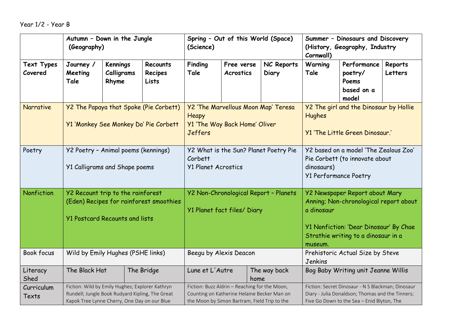Year 1/2 - Year B

|                              | Autumn - Down in the Jungle<br>(Geography)                                                                                                         |                                        |                              | Spring - Out of this World (Space)<br>(Science)                                                                                              |                                         |                     | Summer - Dinosaurs and Discovery<br>(History, Geography, Industry<br>Cornwall)                                                                                                     |                                                        |                    |  |
|------------------------------|----------------------------------------------------------------------------------------------------------------------------------------------------|----------------------------------------|------------------------------|----------------------------------------------------------------------------------------------------------------------------------------------|-----------------------------------------|---------------------|------------------------------------------------------------------------------------------------------------------------------------------------------------------------------------|--------------------------------------------------------|--------------------|--|
| <b>Text Types</b><br>Covered | Journey /<br>Meeting<br>Tale                                                                                                                       | <b>Kennings</b><br>Calligrams<br>Rhyme | Recounts<br>Recipes<br>Lists | Finding<br>Tale                                                                                                                              | Free verse<br><b>Acrostics</b>          | NC Reports<br>Diary | Warning<br>Tale                                                                                                                                                                    | Performance<br>poetry/<br>Poems<br>based on a<br>model | Reports<br>Letters |  |
| <b>Narrative</b>             | <b>Y2 The Papaya that Spoke (Pie Corbett)</b><br>Y1 'Monkey See Monkey Do' Pie Corbett                                                             |                                        |                              | Y2 'The Marvellous Moon Map' Teresa<br>Heapy<br>Y1 'The Way Back Home' Oliver<br><b>Jeffers</b>                                              |                                         |                     | Y2 The girl and the Dinosaur by Hollie<br>Hughes<br>Y1 'The Little Green Dinosaur.'                                                                                                |                                                        |                    |  |
| Poetry                       | Y2 Poetry - Animal poems (kennings)<br>Y1 Calligrams and Shape poems                                                                               |                                        |                              | Y2 What is the Sun? Planet Poetry Pie<br>Corbett<br><b>Y1 Planet Acrostics</b>                                                               |                                         |                     | Y2 based on a model 'The Zealous Zoo'<br>Pie Corbett (to innovate about<br>dinosaurs)<br><b>Y1 Performance Poetry</b>                                                              |                                                        |                    |  |
| Nonfiction                   | Y2 Recount trip to the rainforest<br>(Eden) Recipes for rainforest smoothies<br><b>Y1 Postcard Recounts and lists</b>                              |                                        |                              | Y2 Non-Chronological Report - Planets<br>Y1 Planet fact files/ Diary                                                                         |                                         |                     | Y2 Newspaper Report about Mary<br>Anning; Non-chronological report about<br>a dinosaur<br>Y1 Nonfiction: 'Dear Dinosaur' By Chae<br>Strathie writing to a dinosaur in a<br>museum. |                                                        |                    |  |
| Book focus                   | Wild by Emily Hughes (PSHE links)                                                                                                                  |                                        |                              | Beegu by Alexis Deacon                                                                                                                       |                                         |                     | Prehistoric Actual Size by Steve<br>Jenkins                                                                                                                                        |                                                        |                    |  |
| Literacy<br>Shed             | The Black Hat                                                                                                                                      |                                        | The Bridge                   |                                                                                                                                              | Lune et L'Autre<br>The way back<br>home |                     |                                                                                                                                                                                    | Bog Baby Writing unit Jeanne Willis                    |                    |  |
| Curriculum<br>Texts          | Fiction: Wild by Emily Hughes; Explorer Kathryn<br>Rundell; Jungle Book Rudyard Kipling, The Great<br>Kapok Tree Lynne Cherry, One Day on our Blue |                                        |                              | Fiction: Buzz Aldrin - Reaching for the Moon,<br>Counting on Katherine Helaine Becker Man on<br>the Moon by Simon Bartram, Field Trip to the |                                         |                     | Fiction: Secret Dinosaur - N S Blackman; Dinosaur<br>Diary - Julia Donaldson; Thomas and the Tinners;<br>Five Go Down to the Sea - Enid Blyton, The                                |                                                        |                    |  |